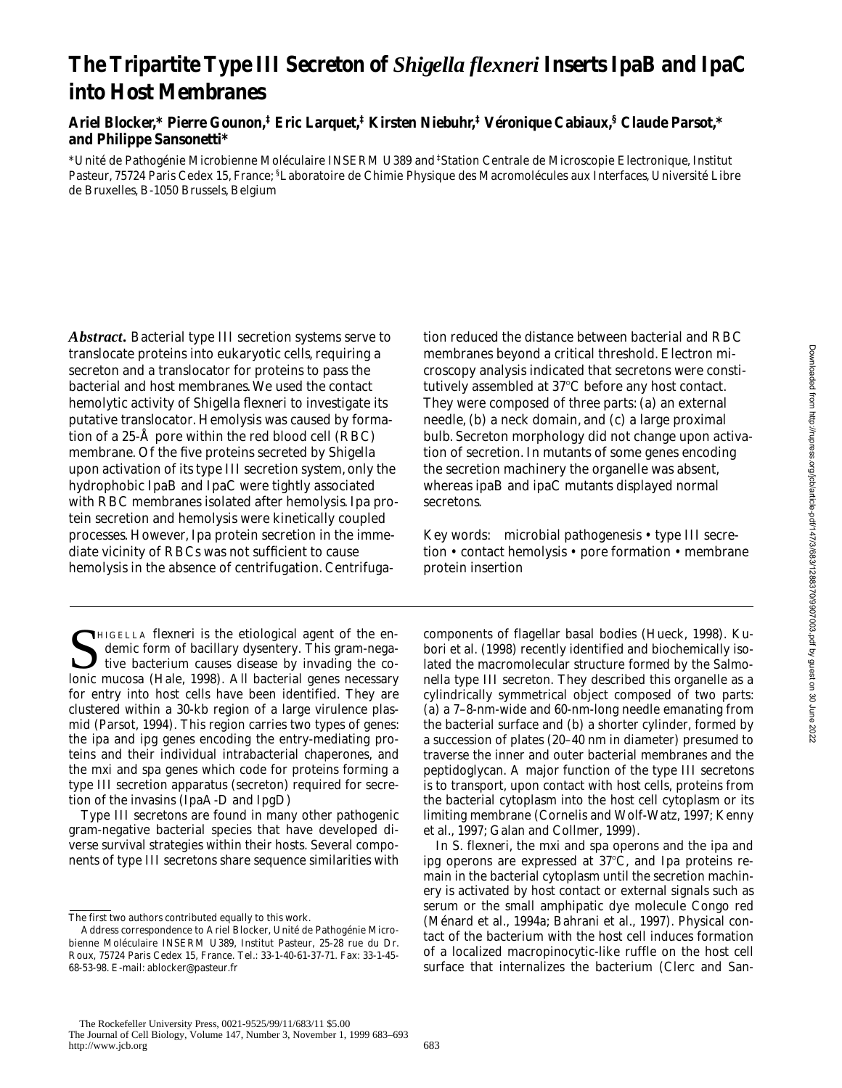# **The Tripartite Type III Secreton of** *Shigella flexneri* **Inserts IpaB and IpaC into Host Membranes**

**Ariel Blocker,\* Pierre Gounon,‡ Eric Larquet,‡ Kirsten Niebuhr,‡ Véronique Cabiaux,§ Claude Parsot,\* and Philippe Sansonetti\***

\*Unité de Pathogénie Microbienne Moléculaire INSERM U389 and ‡Station Centrale de Microscopie Electronique, Institut Pasteur, 75724 Paris Cedex 15, France; <sup>s</sup>Laboratoire de Chimie Physique des Macromolécules aux Interfaces, Université Libre de Bruxelles, B-1050 Brussels, Belgium

*Abstract.* Bacterial type III secretion systems serve to translocate proteins into eukaryotic cells, requiring a secreton and a translocator for proteins to pass the bacterial and host membranes. We used the contact hemolytic activity of *Shigella flexneri* to investigate its putative translocator. Hemolysis was caused by formation of a 25-Å pore within the red blood cell (RBC) membrane. Of the five proteins secreted by *Shigella* upon activation of its type III secretion system, only the hydrophobic IpaB and IpaC were tightly associated with RBC membranes isolated after hemolysis. Ipa protein secretion and hemolysis were kinetically coupled processes. However, Ipa protein secretion in the immediate vicinity of RBCs was not sufficient to cause hemolysis in the absence of centrifugation. Centrifuga-

*HIGELLA flexneri* is the etiological agent of the en-<br>demic form of bacillary dysentery. This gram-nega-<br>tive bacterium causes disease by invading the co-<br>lonic mucosa (Hale 1998) All bacterial genes necessary demic form of bacillary dysentery. This gram-nega-I tive bacterium causes disease by invading the colonic mucosa (Hale, 1998). All bacterial genes necessary for entry into host cells have been identified. They are clustered within a 30-kb region of a large virulence plasmid (Parsot, 1994). This region carries two types of genes: the *ipa* and *ipg* genes encoding the entry-mediating proteins and their individual intrabacterial chaperones, and the *mxi* and *spa* genes which code for proteins forming a type III secretion apparatus (secreton) required for secretion of the invasins (IpaA-D and IpgD)

Type III secretons are found in many other pathogenic gram-negative bacterial species that have developed diverse survival strategies within their hosts. Several components of type III secretons share sequence similarities with

tion reduced the distance between bacterial and RBC membranes beyond a critical threshold. Electron microscopy analysis indicated that secretons were constitutively assembled at  $37^{\circ}$ C before any host contact. They were composed of three parts: (a) an external needle, (b) a neck domain, and (c) a large proximal bulb. Secreton morphology did not change upon activation of secretion. In mutants of some genes encoding the secretion machinery the organelle was absent, whereas *ipaB* and *ipaC* mutants displayed normal secretons.

Key words: microbial pathogenesis • type III secretion • contact hemolysis • pore formation • membrane protein insertion

components of flagellar basal bodies (Hueck, 1998). Kubori et al. (1998) recently identified and biochemically isolated the macromolecular structure formed by the *Salmonella* type III secreton. They described this organelle as a cylindrically symmetrical object composed of two parts: (a) a 7–8-nm-wide and 60-nm-long needle emanating from the bacterial surface and (b) a shorter cylinder, formed by a succession of plates (20–40 nm in diameter) presumed to traverse the inner and outer bacterial membranes and the peptidoglycan. A major function of the type III secretons is to transport, upon contact with host cells, proteins from the bacterial cytoplasm into the host cell cytoplasm or its limiting membrane (Cornelis and Wolf-Watz, 1997; Kenny et al., 1997; Galan and Collmer, 1999).

In *S*. *flexneri*, the *mxi* and *spa* operons and the *ipa* and *ipg* operons are expressed at  $37^{\circ}\text{C}$ , and Ipa proteins remain in the bacterial cytoplasm until the secretion machinery is activated by host contact or external signals such as serum or the small amphipatic dye molecule Congo red (Ménard et al., 1994a; Bahrani et al., 1997). Physical contact of the bacterium with the host cell induces formation of a localized macropinocytic-like ruffle on the host cell surface that internalizes the bacterium (Clerc and San-

The first two authors contributed equally to this work.

Address correspondence to Ariel Blocker, Unité de Pathogénie Microbienne Moléculaire INSERM U389, Institut Pasteur, 25-28 rue du Dr. Roux, 75724 Paris Cedex 15, France. Tel.: 33-1-40-61-37-71. Fax: 33-1-45- 68-53-98. E-mail: ablocker@pasteur.fr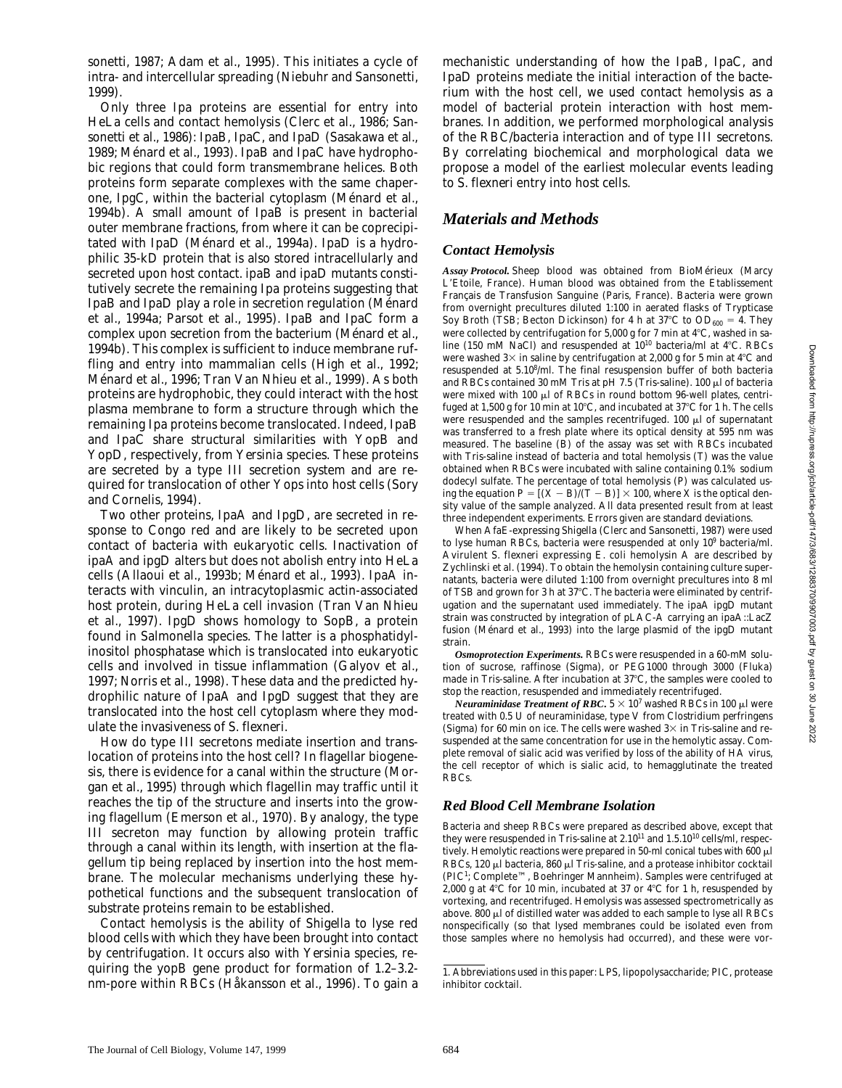sonetti, 1987; Adam et al., 1995). This initiates a cycle of intra- and intercellular spreading (Niebuhr and Sansonetti, 1999).

Only three Ipa proteins are essential for entry into HeLa cells and contact hemolysis (Clerc et al., 1986; Sansonetti et al., 1986): IpaB, IpaC, and IpaD (Sasakawa et al., 1989; Ménard et al., 1993). IpaB and IpaC have hydrophobic regions that could form transmembrane helices. Both proteins form separate complexes with the same chaperone, IpgC, within the bacterial cytoplasm (Ménard et al., 1994b). A small amount of IpaB is present in bacterial outer membrane fractions, from where it can be coprecipitated with IpaD (Ménard et al., 1994a). IpaD is a hydrophilic 35-kD protein that is also stored intracellularly and secreted upon host contact. *ipaB* and *ipaD* mutants constitutively secrete the remaining Ipa proteins suggesting that IpaB and IpaD play a role in secretion regulation (Ménard et al., 1994a; Parsot et al., 1995). IpaB and IpaC form a complex upon secretion from the bacterium (Ménard et al., 1994b). This complex is sufficient to induce membrane ruffling and entry into mammalian cells (High et al., 1992; Ménard et al., 1996; Tran Van Nhieu et al., 1999). As both proteins are hydrophobic, they could interact with the host plasma membrane to form a structure through which the remaining Ipa proteins become translocated. Indeed, IpaB and IpaC share structural similarities with YopB and YopD, respectively, from *Yersinia* species. These proteins are secreted by a type III secretion system and are required for translocation of other Yops into host cells (Sory and Cornelis, 1994).

Two other proteins, IpaA and IpgD, are secreted in response to Congo red and are likely to be secreted upon contact of bacteria with eukaryotic cells. Inactivation of *ipaA* and *ipgD* alters but does not abolish entry into HeLa cells (Allaoui et al., 1993b; Ménard et al., 1993). IpaA interacts with vinculin, an intracytoplasmic actin-associated host protein, during HeLa cell invasion (Tran Van Nhieu et al., 1997). IpgD shows homology to SopB, a protein found in *Salmonella* species. The latter is a phosphatidylinositol phosphatase which is translocated into eukaryotic cells and involved in tissue inflammation (Galyov et al., 1997; Norris et al., 1998). These data and the predicted hydrophilic nature of IpaA and IpgD suggest that they are translocated into the host cell cytoplasm where they modulate the invasiveness of *S*. *flexneri*.

How do type III secretons mediate insertion and translocation of proteins into the host cell? In flagellar biogenesis, there is evidence for a canal within the structure (Morgan et al., 1995) through which flagellin may traffic until it reaches the tip of the structure and inserts into the growing flagellum (Emerson et al., 1970). By analogy, the type III secreton may function by allowing protein traffic through a canal within its length, with insertion at the flagellum tip being replaced by insertion into the host membrane. The molecular mechanisms underlying these hypothetical functions and the subsequent translocation of substrate proteins remain to be established.

Contact hemolysis is the ability of *Shigella* to lyse red blood cells with which they have been brought into contact by centrifugation. It occurs also with *Yersinia* species, requiring the *yopB* gene product for formation of 1.2–3.2 nm-pore within RBCs (Håkansson et al., 1996). To gain a mechanistic understanding of how the IpaB, IpaC, and IpaD proteins mediate the initial interaction of the bacterium with the host cell, we used contact hemolysis as a model of bacterial protein interaction with host membranes. In addition, we performed morphological analysis of the RBC/bacteria interaction and of type III secretons. By correlating biochemical and morphological data we propose a model of the earliest molecular events leading to *S*. *flexneri* entry into host cells.

# *Materials and Methods*

## *Contact Hemolysis*

*Assay Protocol.* Sheep blood was obtained from BioMérieux (Marcy L'Etoile, France). Human blood was obtained from the Etablissement Français de Transfusion Sanguine (Paris, France). Bacteria were grown from overnight precultures diluted 1:100 in aerated flasks of Trypticase Soy Broth (TSB; Becton Dickinson) for 4 h at 37°C to  $OD_{600} = 4$ . They were collected by centrifugation for 5,000 g for 7 min at 4°C, washed in saline (150 mM NaCl) and resuspended at  $10^{10}$  bacteria/ml at 4°C. RBCs were washed  $3\times$  in saline by centrifugation at 2,000 *g* for 5 min at 4°C and resuspended at 5.10<sup>8</sup>/ml. The final resuspension buffer of both bacteria and RBCs contained 30 mM Tris at pH 7.5 (Tris-saline). 100  $\mu$ l of bacteria were mixed with 100  $\mu$ l of RBCs in round bottom 96-well plates, centrifuged at 1,500 *g* for 10 min at 10°C, and incubated at 37°C for 1 h. The cells were resuspended and the samples recentrifuged.  $100 \mu l$  of supernatant was transferred to a fresh plate where its optical density at 595 nm was measured. The baseline (B) of the assay was set with RBCs incubated with Tris-saline instead of bacteria and total hemolysis (T) was the value obtained when RBCs were incubated with saline containing 0.1% sodium dodecyl sulfate. The percentage of total hemolysis (P) was calculated using the equation  $P = [(X - B)/(T - B)] \times 100$ , where X is the optical density value of the sample analyzed. All data presented result from at least three independent experiments. Errors given are standard deviations.

When AfaE-expressing *Shigella* (Clerc and Sansonetti, 1987) were used to lyse human RBCs, bacteria were resuspended at only 109 bacteria/ml. Avirulent *S*. *flexneri* expressing *E*. *coli* hemolysin A are described by Zychlinski et al. (1994). To obtain the hemolysin containing culture supernatants, bacteria were diluted 1:100 from overnight precultures into 8 ml of TSB and grown for 3 h at 37°C. The bacteria were eliminated by centrifugation and the supernatant used immediately. The *ipaA ipgD* mutant strain was constructed by integration of pLAC-A carrying an ipaA::LacZ fusion (Ménard et al., 1993) into the large plasmid of the *ipgD* mutant strain.

*Osmoprotection Experiments.* RBCs were resuspended in a 60-mM solution of sucrose, raffinose (Sigma), or PEG1000 through 3000 (Fluka) made in Tris-saline. After incubation at 37°C, the samples were cooled to stop the reaction, resuspended and immediately recentrifuged.

*Neuraminidase Treatment of RBC.*  $5 \times 10^7$  washed RBCs in 100  $\mu$ l were treated with 0.5 U of neuraminidase, type V from *Clostridium perfringens* (Sigma) for 60 min on ice. The cells were washed  $3\times$  in Tris-saline and resuspended at the same concentration for use in the hemolytic assay. Complete removal of sialic acid was verified by loss of the ability of HA virus, the cell receptor of which is sialic acid, to hemagglutinate the treated RBCs.

# *Red Blood Cell Membrane Isolation*

Bacteria and sheep RBCs were prepared as described above, except that they were resuspended in Tris-saline at 2.10<sup>11</sup> and 1.5.10<sup>10</sup> cells/ml, respectively. Hemolytic reactions were prepared in 50-ml conical tubes with 600  $\mu$ l RBCs, 120  $\mu$ l bacteria, 860  $\mu$ l Tris-saline, and a protease inhibitor cocktail (PIC1 ; Complete™, Boehringer Mannheim). Samples were centrifuged at 2,000  $g$  at 4°C for 10 min, incubated at 37 or 4°C for 1 h, resuspended by vortexing, and recentrifuged. Hemolysis was assessed spectrometrically as above. 800  $\mu$ l of distilled water was added to each sample to lyse all RBCs nonspecifically (so that lysed membranes could be isolated even from those samples where no hemolysis had occurred), and these were vor-

<sup>1.</sup> *Abbreviations used in this paper:* LPS, lipopolysaccharide; PIC, protease inhibitor cocktail.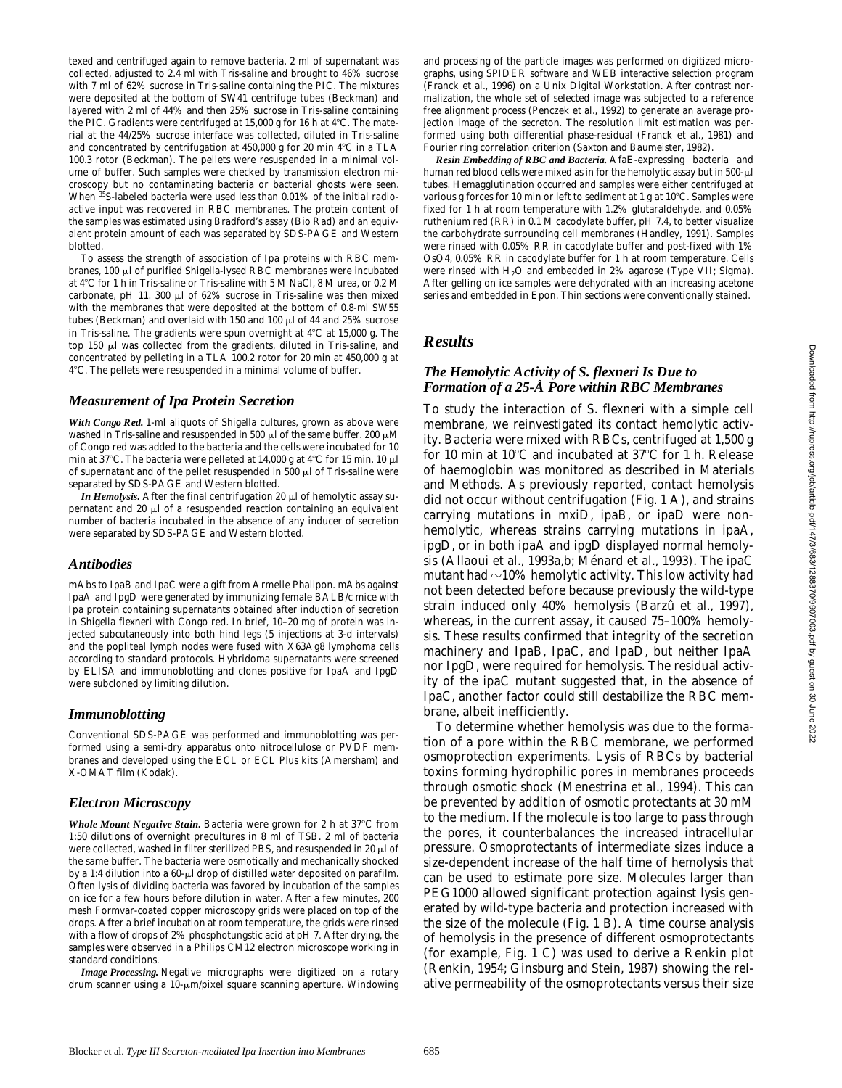texed and centrifuged again to remove bacteria. 2 ml of supernatant was collected, adjusted to 2.4 ml with Tris-saline and brought to 46% sucrose with 7 ml of 62% sucrose in Tris-saline containing the PIC. The mixtures were deposited at the bottom of SW41 centrifuge tubes (Beckman) and layered with 2 ml of 44% and then 25% sucrose in Tris-saline containing the PIC. Gradients were centrifuged at  $15,000$  *g* for 16 h at  $4^{\circ}$ C. The material at the 44/25% sucrose interface was collected, diluted in Tris-saline and concentrated by centrifugation at  $450,000$   $g$  for 20 min  $4^{\circ}$ C in a TLA 100.3 rotor (Beckman). The pellets were resuspended in a minimal volume of buffer. Such samples were checked by transmission electron microscopy but no contaminating bacteria or bacterial ghosts were seen. When 35S-labeled bacteria were used less than 0.01% of the initial radioactive input was recovered in RBC membranes. The protein content of the samples was estimated using Bradford's assay (Bio Rad) and an equivalent protein amount of each was separated by SDS-PAGE and Western blotted.

To assess the strength of association of Ipa proteins with RBC membranes, 100  $\mu$ l of purified *Shigella*-lysed RBC membranes were incubated at 48C for 1 h in Tris-saline or Tris-saline with 5 M NaCl, 8 M urea, or 0.2 M carbonate, pH 11. 300  $\mu$ l of 62% sucrose in Tris-saline was then mixed with the membranes that were deposited at the bottom of 0.8-ml SW55 tubes (Beckman) and overlaid with 150 and 100  $\mu$ l of 44 and 25% sucrose in Tris-saline. The gradients were spun overnight at 4°C at 15,000 *g*. The top 150 µl was collected from the gradients, diluted in Tris-saline, and concentrated by pelleting in a TLA 100.2 rotor for 20 min at 450,000 *g* at 4°C. The pellets were resuspended in a minimal volume of buffer.

## *Measurement of Ipa Protein Secretion*

*With Congo Red.* 1-ml aliquots of *Shigella* cultures, grown as above were washed in Tris-saline and resuspended in 500  $\mu$ l of the same buffer. 200  $\mu$ M of Congo red was added to the bacteria and the cells were incubated for 10 min at 37°C. The bacteria were pelleted at 14,000  $g$  at 4°C for 15 min. 10  $\mu$ l of supernatant and of the pellet resuspended in 500  $\mu$ l of Tris-saline were separated by SDS-PAGE and Western blotted.

*In Hemolysis.* After the final centrifugation 20  $\mu$ l of hemolytic assay supernatant and  $20 \mu$  of a resuspended reaction containing an equivalent number of bacteria incubated in the absence of any inducer of secretion were separated by SDS-PAGE and Western blotted.

#### *Antibodies*

mAbs to IpaB and IpaC were a gift from Armelle Phalipon. mAbs against IpaA and IpgD were generated by immunizing female BALB/c mice with Ipa protein containing supernatants obtained after induction of secretion in *Shigella flexneri* with Congo red. In brief, 10–20 mg of protein was injected subcutaneously into both hind legs (5 injections at 3-d intervals) and the popliteal lymph nodes were fused with X63Ag8 lymphoma cells according to standard protocols. Hybridoma supernatants were screened by ELISA and immunoblotting and clones positive for IpaA and IpgD were subcloned by limiting dilution.

## *Immunoblotting*

Conventional SDS-PAGE was performed and immunoblotting was performed using a semi-dry apparatus onto nitrocellulose or PVDF membranes and developed using the ECL or ECL Plus kits (Amersham) and X-OMAT film (Kodak).

## *Electron Microscopy*

*Whole Mount Negative Stain.* Bacteria were grown for 2 h at 37°C from 1:50 dilutions of overnight precultures in 8 ml of TSB. 2 ml of bacteria were collected, washed in filter sterilized PBS, and resuspended in 20  $\mu$ l of the same buffer. The bacteria were osmotically and mechanically shocked by a 1:4 dilution into a  $60$ - $\mu$ l drop of distilled water deposited on parafilm. Often lysis of dividing bacteria was favored by incubation of the samples on ice for a few hours before dilution in water. After a few minutes, 200 mesh Formvar-coated copper microscopy grids were placed on top of the drops. After a brief incubation at room temperature, the grids were rinsed with a flow of drops of 2% phosphotungstic acid at pH 7. After drying, the samples were observed in a Philips CM12 electron microscope working in standard conditions.

*Image Processing.* Negative micrographs were digitized on a rotary drum scanner using a  $10$ - $\mu$ m/pixel square scanning aperture. Windowing and processing of the particle images was performed on digitized micrographs, using SPIDER software and WEB interactive selection program (Franck et al., 1996) on a Unix Digital Workstation. After contrast normalization, the whole set of selected image was subjected to a reference free alignment process (Penczek et al., 1992) to generate an average projection image of the secreton. The resolution limit estimation was performed using both differential phase-residual (Franck et al., 1981) and Fourier ring correlation criterion (Saxton and Baumeister, 1982).

*Resin Embedding of RBC and Bacteria.* AfaE-expressing bacteria and human red blood cells were mixed as in for the hemolytic assay but in  $500-\mu l$ tubes. Hemagglutination occurred and samples were either centrifuged at various *g* forces for 10 min or left to sediment at 1 *g* at 10°C. Samples were fixed for 1 h at room temperature with 1.2% glutaraldehyde, and 0.05% ruthenium red (RR) in 0.1 M cacodylate buffer, pH 7.4, to better visualize the carbohydrate surrounding cell membranes (Handley, 1991). Samples were rinsed with 0.05% RR in cacodylate buffer and post-fixed with 1% OsO4, 0.05% RR in cacodylate buffer for 1 h at room temperature. Cells were rinsed with H<sub>2</sub>O and embedded in 2% agarose (Type VII; Sigma). After gelling on ice samples were dehydrated with an increasing acetone series and embedded in Epon. Thin sections were conventionally stained.

## *Results*

## *The Hemolytic Activity of S. flexneri Is Due to Formation of a 25-Å Pore within RBC Membranes*

To study the interaction of *S*. *flexneri* with a simple cell membrane, we reinvestigated its contact hemolytic activity. Bacteria were mixed with RBCs, centrifuged at 1,500 *g* for 10 min at  $10^{\circ}$ C and incubated at  $37^{\circ}$ C for 1 h. Release of haemoglobin was monitored as described in Materials and Methods. As previously reported, contact hemolysis did not occur without centrifugation (Fig. 1 A), and strains carrying mutations in *mxiD*, *ipaB*, or *ipaD* were nonhemolytic, whereas strains carrying mutations in *ipaA*, *ipgD*, or in both *ipaA* and *ipgD* displayed normal hemolysis (Allaoui et al., 1993a,b; Ménard et al., 1993). The *ipaC* mutant had  $\sim$ 10% hemolytic activity. This low activity had not been detected before because previously the wild-type strain induced only 40% hemolysis (Barzû et al., 1997), whereas, in the current assay, it caused 75–100% hemolysis. These results confirmed that integrity of the secretion machinery and IpaB, IpaC, and IpaD, but neither IpaA nor IpgD, were required for hemolysis. The residual activity of the *ipaC* mutant suggested that, in the absence of IpaC, another factor could still destabilize the RBC membrane, albeit inefficiently.

To determine whether hemolysis was due to the formation of a pore within the RBC membrane, we performed osmoprotection experiments. Lysis of RBCs by bacterial toxins forming hydrophilic pores in membranes proceeds through osmotic shock (Menestrina et al., 1994). This can be prevented by addition of osmotic protectants at 30 mM to the medium. If the molecule is too large to pass through the pores, it counterbalances the increased intracellular pressure. Osmoprotectants of intermediate sizes induce a size-dependent increase of the half time of hemolysis that can be used to estimate pore size. Molecules larger than PEG1000 allowed significant protection against lysis generated by wild-type bacteria and protection increased with the size of the molecule (Fig. 1 B). A time course analysis of hemolysis in the presence of different osmoprotectants (for example, Fig. 1 C) was used to derive a Renkin plot (Renkin, 1954; Ginsburg and Stein, 1987) showing the relative permeability of the osmoprotectants versus their size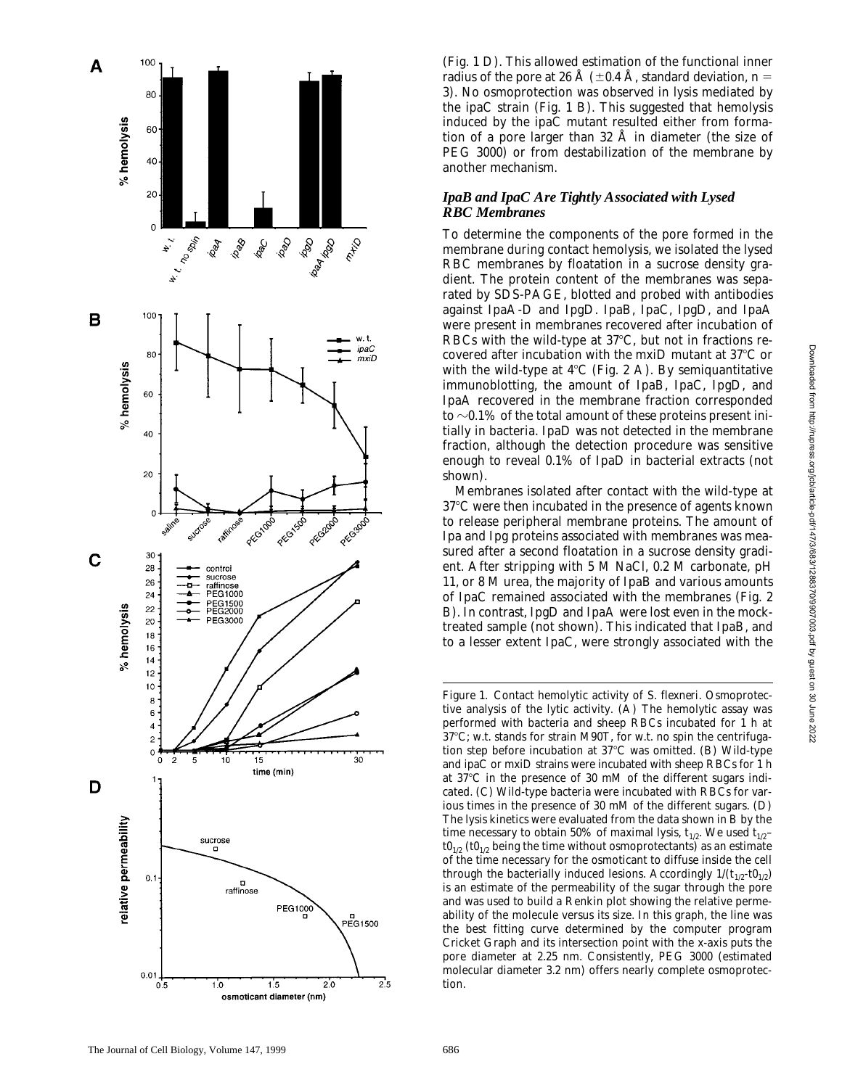

(Fig. 1 D). This allowed estimation of the functional inner radius of the pore at 26 Å ( $\pm 0.4$  Å, standard deviation,  $n=$ 3). No osmoprotection was observed in lysis mediated by the *ipaC* strain (Fig. 1 B). This suggested that hemolysis induced by the *ipaC* mutant resulted either from formation of a pore larger than 32 Å in diameter (the size of PEG 3000) or from destabilization of the membrane by another mechanism.

## *IpaB and IpaC Are Tightly Associated with Lysed RBC Membranes*

To determine the components of the pore formed in the membrane during contact hemolysis, we isolated the lysed RBC membranes by floatation in a sucrose density gradient. The protein content of the membranes was separated by SDS-PAGE, blotted and probed with antibodies against IpaA-D and IpgD. IpaB, IpaC, IpgD, and IpaA were present in membranes recovered after incubation of RBCs with the wild-type at  $37^{\circ}$ C, but not in fractions recovered after incubation with the *mxiD* mutant at 37°C or with the wild-type at  $4^{\circ}C$  (Fig. 2 A). By semiquantitative immunoblotting, the amount of IpaB, IpaC, IpgD, and IpaA recovered in the membrane fraction corresponded to  $\sim$ 0.1% of the total amount of these proteins present initially in bacteria. IpaD was not detected in the membrane fraction, although the detection procedure was sensitive enough to reveal 0.1% of IpaD in bacterial extracts (not shown).

Membranes isolated after contact with the wild-type at  $37^{\circ}$ C were then incubated in the presence of agents known to release peripheral membrane proteins. The amount of Ipa and Ipg proteins associated with membranes was measured after a second floatation in a sucrose density gradient. After stripping with 5 M NaCl, 0.2 M carbonate, pH 11, or 8 M urea, the majority of IpaB and various amounts of IpaC remained associated with the membranes (Fig. 2 B). In contrast, IpgD and IpaA were lost even in the mocktreated sample (not shown). This indicated that IpaB, and to a lesser extent IpaC, were strongly associated with the

*Figure 1.* Contact hemolytic activity of *S. flexneri*. Osmoprotective analysis of the lytic activity. (A) The hemolytic assay was performed with bacteria and sheep RBCs incubated for 1 h at  $37^{\circ}$ C; w.t. stands for strain M90T, for w.t. no spin the centrifugation step before incubation at  $37^{\circ}$ C was omitted. (B) Wild-type and *ipaC* or *mxiD* strains were incubated with sheep RBCs for 1 h at  $37^{\circ}$ C in the presence of 30 mM of the different sugars indicated. (C) Wild-type bacteria were incubated with RBCs for various times in the presence of 30 mM of the different sugars. (D) The lysis kinetics were evaluated from the data shown in B by the time necessary to obtain 50% of maximal lysis,  $t_{1/2}$ . We used  $t_{1/2}$  $t0_{1/2}$  (t0<sub>1/2</sub> being the time without osmoprotectants) as an estimate of the time necessary for the osmoticant to diffuse inside the cell through the bacterially induced lesions. Accordingly  $1/(t_{1/2}-t0_{1/2})$ is an estimate of the permeability of the sugar through the pore and was used to build a Renkin plot showing the relative permeability of the molecule versus its size. In this graph, the line was the best fitting curve determined by the computer program Cricket Graph and its intersection point with the x-axis puts the pore diameter at 2.25 nm. Consistently, PEG 3000 (estimated molecular diameter 3.2 nm) offers nearly complete osmoprotection.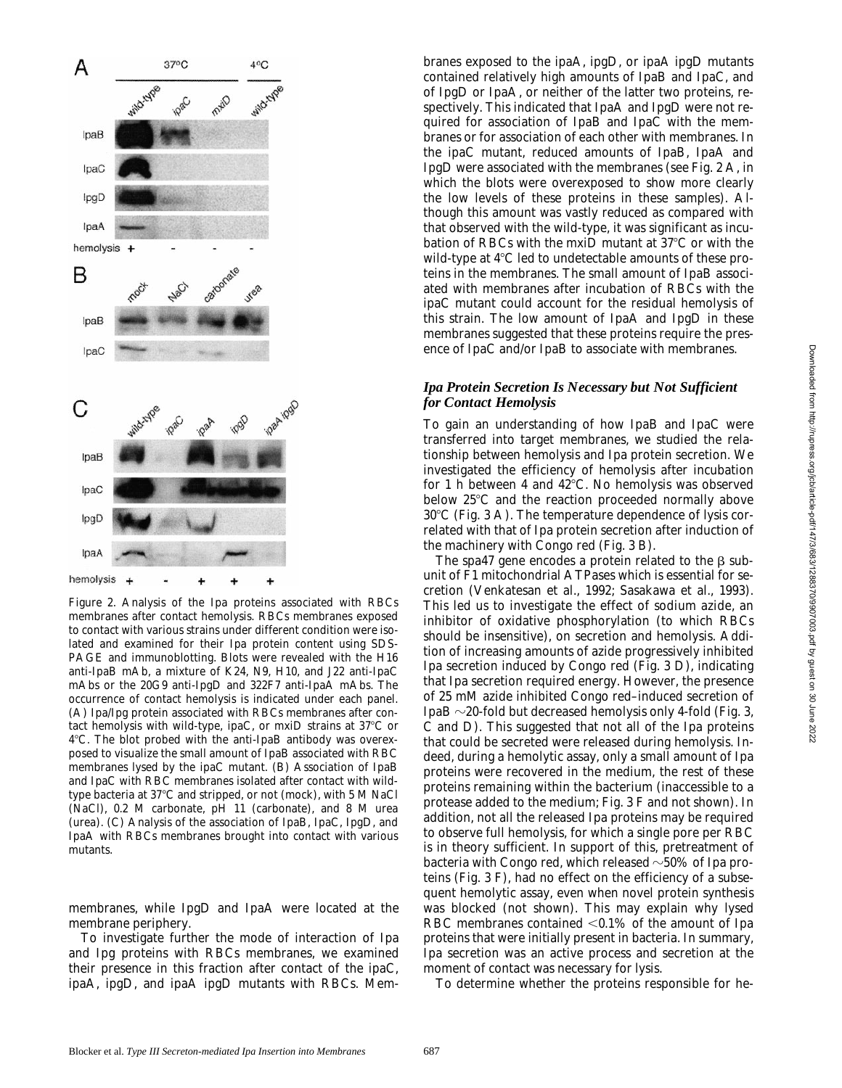

*Figure 2.* Analysis of the Ipa proteins associated with RBCs membranes after contact hemolysis. RBCs membranes exposed to contact with various strains under different condition were isolated and examined for their Ipa protein content using SDS-PAGE and immunoblotting. Blots were revealed with the H16 anti-IpaB mAb, a mixture of K24, N9, H10, and J22 anti-IpaC mAbs or the 20G9 anti-IpgD and 322F7 anti-IpaA mAbs. The occurrence of contact hemolysis is indicated under each panel. (A) Ipa/Ipg protein associated with RBCs membranes after contact hemolysis with wild-type, *ipaC*, or *mxiD* strains at 37°C or 4°C. The blot probed with the anti-IpaB antibody was overexposed to visualize the small amount of IpaB associated with RBC membranes lysed by the *ipaC* mutant. (B) Association of IpaB and IpaC with RBC membranes isolated after contact with wildtype bacteria at 37°C and stripped, or not (mock), with 5 M NaCl (NaCl), 0.2 M carbonate, pH 11 (carbonate), and 8 M urea (urea). (C) Analysis of the association of IpaB, IpaC, IpgD, and IpaA with RBCs membranes brought into contact with various mutants.

membranes, while IpgD and IpaA were located at the membrane periphery.

To investigate further the mode of interaction of Ipa and Ipg proteins with RBCs membranes, we examined their presence in this fraction after contact of the *ipaC*, *ipaA*, *ipgD*, and *ipaA ipgD* mutants with RBCs. Mem-

branes exposed to the *ipaA*, *ipgD*, or *ipaA ipgD* mutants contained relatively high amounts of IpaB and IpaC, and of IpgD or IpaA, or neither of the latter two proteins, respectively. This indicated that IpaA and IpgD were not required for association of IpaB and IpaC with the membranes or for association of each other with membranes. In the *ipaC* mutant, reduced amounts of IpaB, IpaA and IpgD were associated with the membranes (see Fig. 2 A, in which the blots were overexposed to show more clearly the low levels of these proteins in these samples). Although this amount was vastly reduced as compared with that observed with the wild-type, it was significant as incubation of RBCs with the *mxiD* mutant at 37°C or with the wild-type at  $4^{\circ}C$  led to undetectable amounts of these proteins in the membranes. The small amount of IpaB associated with membranes after incubation of RBCs with the *ipaC* mutant could account for the residual hemolysis of this strain. The low amount of IpaA and IpgD in these membranes suggested that these proteins require the presence of IpaC and/or IpaB to associate with membranes.

## *Ipa Protein Secretion Is Necessary but Not Sufficient for Contact Hemolysis*

To gain an understanding of how IpaB and IpaC were transferred into target membranes, we studied the relationship between hemolysis and Ipa protein secretion. We investigated the efficiency of hemolysis after incubation for 1 h between 4 and  $42^{\circ}$ C. No hemolysis was observed below  $25^{\circ}$ C and the reaction proceeded normally above  $30^{\circ}$ C (Fig. 3 A). The temperature dependence of lysis correlated with that of Ipa protein secretion after induction of the machinery with Congo red (Fig. 3 B).

The  $spa47$  gene encodes a protein related to the  $\beta$  subunit of F1 mitochondrial ATPases which is essential for secretion (Venkatesan et al., 1992; Sasakawa et al., 1993). This led us to investigate the effect of sodium azide, an inhibitor of oxidative phosphorylation (to which RBCs should be insensitive), on secretion and hemolysis. Addition of increasing amounts of azide progressively inhibited Ipa secretion induced by Congo red (Fig. 3 D), indicating that Ipa secretion required energy. However, the presence of 25 mM azide inhibited Congo red–induced secretion of IpaB  $\sim$ 20-fold but decreased hemolysis only 4-fold (Fig. 3, C and D). This suggested that not all of the Ipa proteins that could be secreted were released during hemolysis. Indeed, during a hemolytic assay, only a small amount of Ipa proteins were recovered in the medium, the rest of these proteins remaining within the bacterium (inaccessible to a protease added to the medium; Fig. 3 F and not shown). In addition, not all the released Ipa proteins may be required to observe full hemolysis, for which a single pore per RBC is in theory sufficient. In support of this, pretreatment of bacteria with Congo red, which released  $\sim$ 50% of Ipa proteins (Fig. 3 F), had no effect on the efficiency of a subsequent hemolytic assay, even when novel protein synthesis was blocked (not shown). This may explain why lysed RBC membranes contained  $< 0.1\%$  of the amount of Ipa proteins that were initially present in bacteria. In summary, Ipa secretion was an active process and secretion at the moment of contact was necessary for lysis.

To determine whether the proteins responsible for he-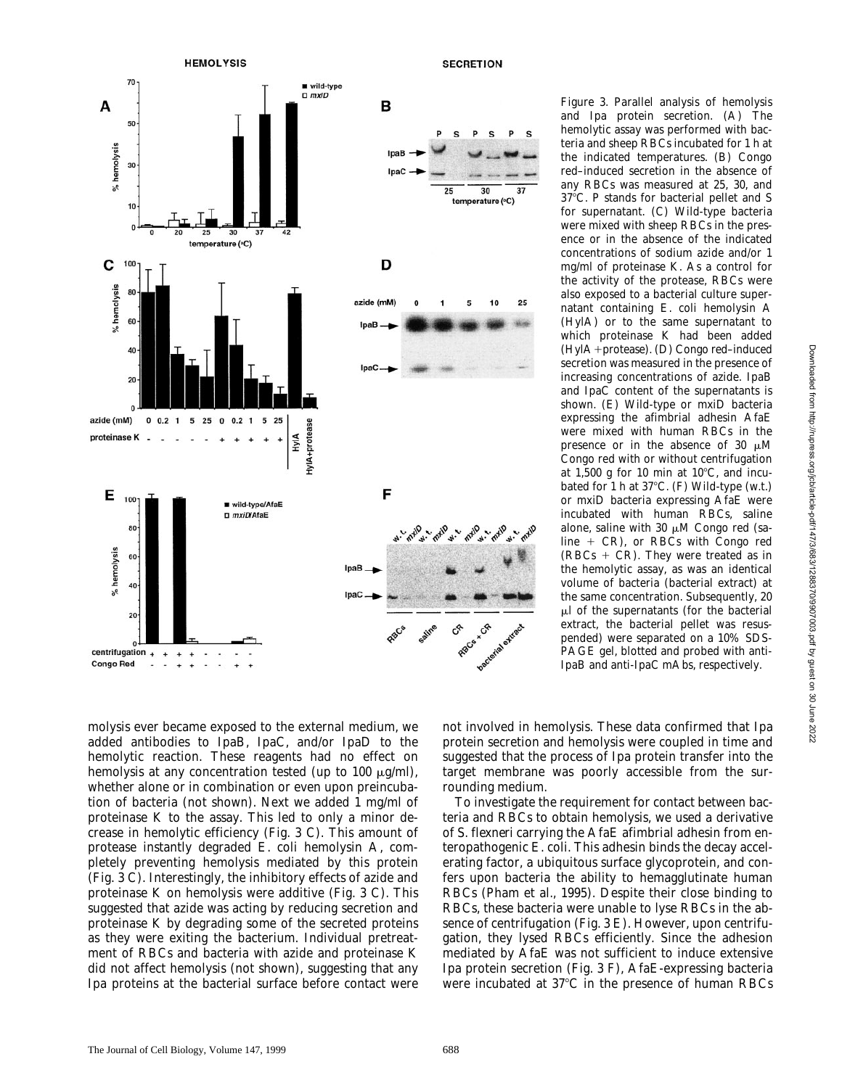

*Figure 3.* Parallel analysis of hemolysis and Ipa protein secretion. (A) The hemolytic assay was performed with bacteria and sheep RBCs incubated for 1 h at the indicated temperatures. (B) Congo red–induced secretion in the absence of any RBCs was measured at 25, 30, and  $37^{\circ}$ C. P stands for bacterial pellet and S for supernatant. (C) Wild-type bacteria were mixed with sheep RBCs in the presence or in the absence of the indicated concentrations of sodium azide and/or 1 mg/ml of proteinase K. As a control for the activity of the protease, RBCs were also exposed to a bacterial culture supernatant containing *E*. *coli* hemolysin A (HylA) or to the same supernatant to which proteinase K had been added  $(HyIA+rrotease)$ . (D) Congo red–induced secretion was measured in the presence of increasing concentrations of azide. IpaB and IpaC content of the supernatants is shown. (E) Wild-type or *mxiD* bacteria expressing the afimbrial adhesin AfaE were mixed with human RBCs in the presence or in the absence of 30  $\mu$ M Congo red with or without centrifugation at 1,500  $g$  for 10 min at 10°C, and incubated for 1 h at 37°C. (F) Wild-type (w.t.) or mxiD bacteria expressing AfaE were incubated with human RBCs, saline alone, saline with 30  $\mu$ M Congo red (saline  $+$  CR), or RBCs with Congo red (RBCs  $+$  CR). They were treated as in the hemolytic assay, as was an identical volume of bacteria (bacterial extract) at the same concentration. Subsequently, 20  $\mu$ l of the supernatants (for the bacterial extract, the bacterial pellet was resuspended) were separated on a 10% SDS-PAGE gel, blotted and probed with anti-IpaB and anti-IpaC mAbs, respectively.

Downloaded from http://rupress.org/jcb/article-pdf/147/3/683/1288370/9907003.pdf by guest on 30 June 2022 Downloaded from http://rupress.org/jcb/article-pdf/147/3/683/1288370/9907003.pdf by guest on 30 June 2022

molysis ever became exposed to the external medium, we added antibodies to IpaB, IpaC, and/or IpaD to the hemolytic reaction. These reagents had no effect on hemolysis at any concentration tested (up to 100  $\mu$ g/ml), whether alone or in combination or even upon preincubation of bacteria (not shown). Next we added 1 mg/ml of proteinase K to the assay. This led to only a minor decrease in hemolytic efficiency (Fig. 3 C). This amount of protease instantly degraded *E*. *coli* hemolysin A, completely preventing hemolysis mediated by this protein (Fig. 3 C). Interestingly, the inhibitory effects of azide and proteinase K on hemolysis were additive (Fig. 3 C). This suggested that azide was acting by reducing secretion and proteinase K by degrading some of the secreted proteins as they were exiting the bacterium. Individual pretreatment of RBCs and bacteria with azide and proteinase K did not affect hemolysis (not shown), suggesting that any Ipa proteins at the bacterial surface before contact were

not involved in hemolysis. These data confirmed that Ipa protein secretion and hemolysis were coupled in time and suggested that the process of Ipa protein transfer into the target membrane was poorly accessible from the surrounding medium.

To investigate the requirement for contact between bacteria and RBCs to obtain hemolysis, we used a derivative of *S*. *flexneri* carrying the AfaE afimbrial adhesin from enteropathogenic *E*. *coli*. This adhesin binds the decay accelerating factor, a ubiquitous surface glycoprotein, and confers upon bacteria the ability to hemagglutinate human RBCs (Pham et al., 1995). Despite their close binding to RBCs, these bacteria were unable to lyse RBCs in the absence of centrifugation (Fig. 3 E). However, upon centrifugation, they lysed RBCs efficiently. Since the adhesion mediated by AfaE was not sufficient to induce extensive Ipa protein secretion (Fig. 3 F), AfaE-expressing bacteria were incubated at  $37^{\circ}$ C in the presence of human RBCs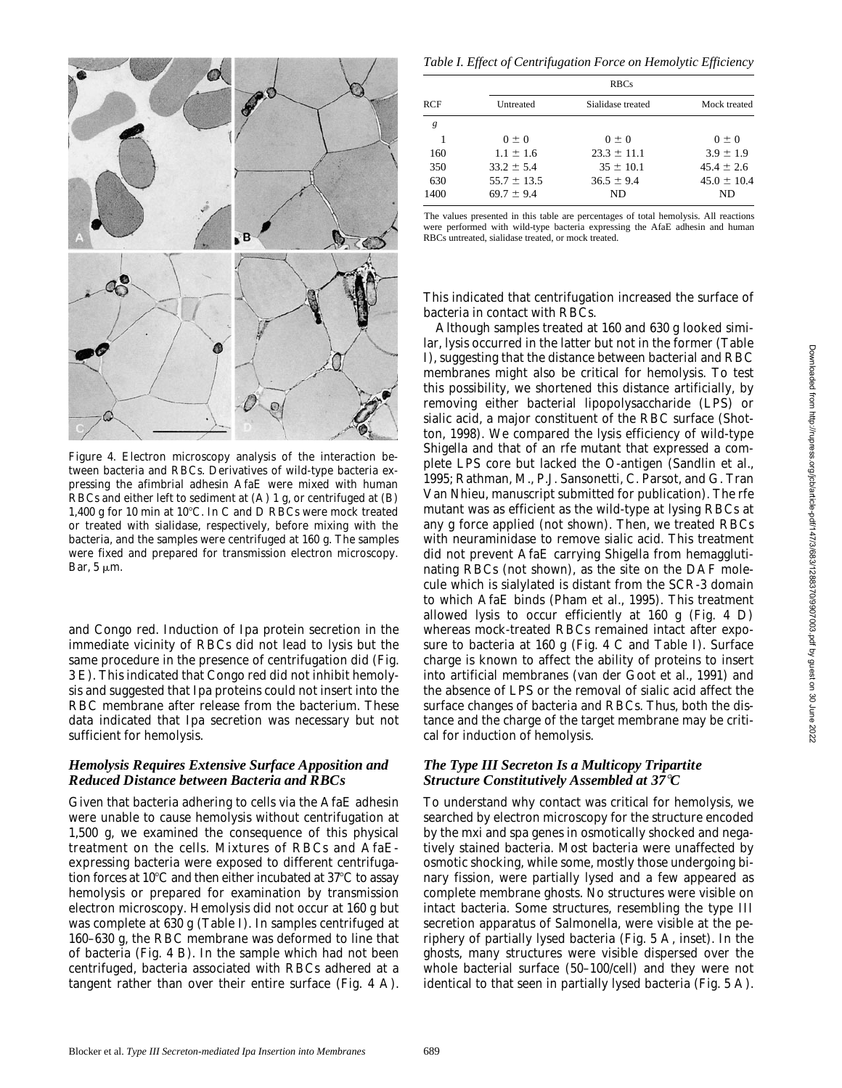

*Figure 4.* Electron microscopy analysis of the interaction between bacteria and RBCs. Derivatives of wild-type bacteria expressing the afimbrial adhesin AfaE were mixed with human RBCs and either left to sediment at (A) 1 *g*, or centrifuged at (B) 1,400 *g* for 10 min at 10°C. In C and D RBCs were mock treated or treated with sialidase, respectively, before mixing with the bacteria, and the samples were centrifuged at 160 *g*. The samples were fixed and prepared for transmission electron microscopy. Bar,  $5 \mu m$ .

and Congo red. Induction of Ipa protein secretion in the immediate vicinity of RBCs did not lead to lysis but the same procedure in the presence of centrifugation did (Fig. 3 E). This indicated that Congo red did not inhibit hemolysis and suggested that Ipa proteins could not insert into the RBC membrane after release from the bacterium. These data indicated that Ipa secretion was necessary but not sufficient for hemolysis.

## *Hemolysis Requires Extensive Surface Apposition and Reduced Distance between Bacteria and RBCs*

Given that bacteria adhering to cells via the AfaE adhesin were unable to cause hemolysis without centrifugation at 1,500 *g*, we examined the consequence of this physical treatment on the cells. Mixtures of RBCs and AfaEexpressing bacteria were exposed to different centrifugation forces at 10 $^{\circ}$ C and then either incubated at 37 $^{\circ}$ C to assay hemolysis or prepared for examination by transmission electron microscopy. Hemolysis did not occur at 160 *g* but was complete at 630 *g* (Table I). In samples centrifuged at 160–630 *g*, the RBC membrane was deformed to line that of bacteria (Fig. 4 B). In the sample which had not been centrifuged, bacteria associated with RBCs adhered at a tangent rather than over their entire surface (Fig. 4 A).

*Table I. Effect of Centrifugation Force on Hemolytic Efficiency*

| <b>RCF</b> | <b>RBCs</b>     |                   |                 |
|------------|-----------------|-------------------|-----------------|
|            | Untreated       | Sialidase treated | Mock treated    |
| g          |                 |                   |                 |
|            | $0 \pm 0$       | $0 \pm 0$         | $0 \pm 0$       |
| 160        | $1.1 \pm 1.6$   | $23.3 \pm 11.1$   | $3.9 \pm 1.9$   |
| 350        | $33.2 \pm 5.4$  | $35 \pm 10.1$     | $45.4 \pm 2.6$  |
| 630        | $55.7 \pm 13.5$ | $36.5 \pm 9.4$    | $45.0 \pm 10.4$ |
| 1400       | $69.7 \pm 9.4$  | ND                | ND              |

The values presented in this table are percentages of total hemolysis. All reactions were performed with wild-type bacteria expressing the AfaE adhesin and human RBCs untreated, sialidase treated, or mock treated.

This indicated that centrifugation increased the surface of bacteria in contact with RBCs.

Although samples treated at 160 and 630 *g* looked similar, lysis occurred in the latter but not in the former (Table I), suggesting that the distance between bacterial and RBC membranes might also be critical for hemolysis. To test this possibility, we shortened this distance artificially, by removing either bacterial lipopolysaccharide (LPS) or sialic acid, a major constituent of the RBC surface (Shotton, 1998). We compared the lysis efficiency of wild-type *Shigella* and that of an *rfe* mutant that expressed a complete LPS core but lacked the O-antigen (Sandlin et al., 1995; Rathman, M., P.J. Sansonetti, C. Parsot, and G. Tran Van Nhieu, manuscript submitted for publication). The *rfe* mutant was as efficient as the wild-type at lysing RBCs at any g force applied (not shown). Then, we treated RBCs with neuraminidase to remove sialic acid. This treatment did not prevent AfaE carrying *Shigella* from hemagglutinating RBCs (not shown), as the site on the DAF molecule which is sialylated is distant from the SCR-3 domain to which AfaE binds (Pham et al., 1995). This treatment allowed lysis to occur efficiently at 160 *g* (Fig. 4 D) whereas mock-treated RBCs remained intact after exposure to bacteria at 160 *g* (Fig. 4 C and Table I). Surface charge is known to affect the ability of proteins to insert into artificial membranes (van der Goot et al., 1991) and the absence of LPS or the removal of sialic acid affect the surface changes of bacteria and RBCs. Thus, both the distance and the charge of the target membrane may be critical for induction of hemolysis.

## *The Type III Secreton Is a Multicopy Tripartite Structure Constitutively Assembled at 37*8*C*

To understand why contact was critical for hemolysis, we searched by electron microscopy for the structure encoded by the *mxi* and *spa* genes in osmotically shocked and negatively stained bacteria. Most bacteria were unaffected by osmotic shocking, while some, mostly those undergoing binary fission, were partially lysed and a few appeared as complete membrane ghosts. No structures were visible on intact bacteria. Some structures, resembling the type III secretion apparatus of *Salmonella*, were visible at the periphery of partially lysed bacteria (Fig. 5 A, inset). In the ghosts, many structures were visible dispersed over the whole bacterial surface (50–100/cell) and they were not identical to that seen in partially lysed bacteria (Fig. 5 A).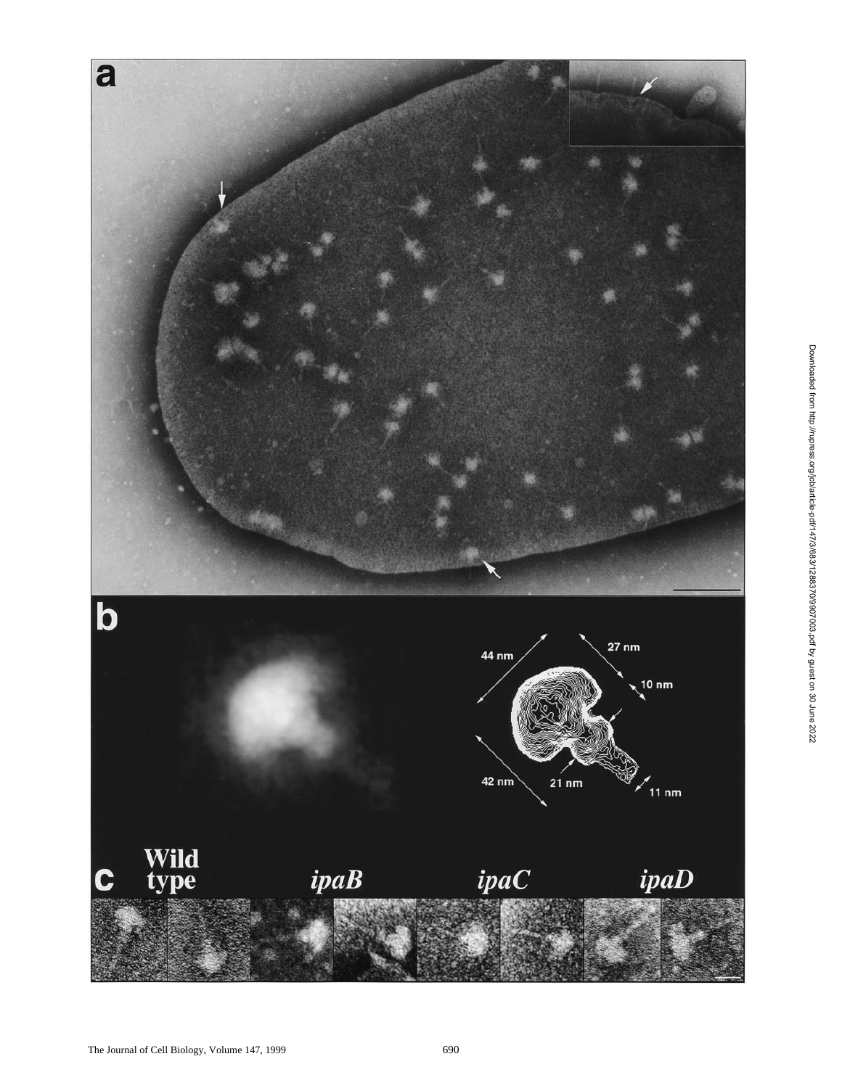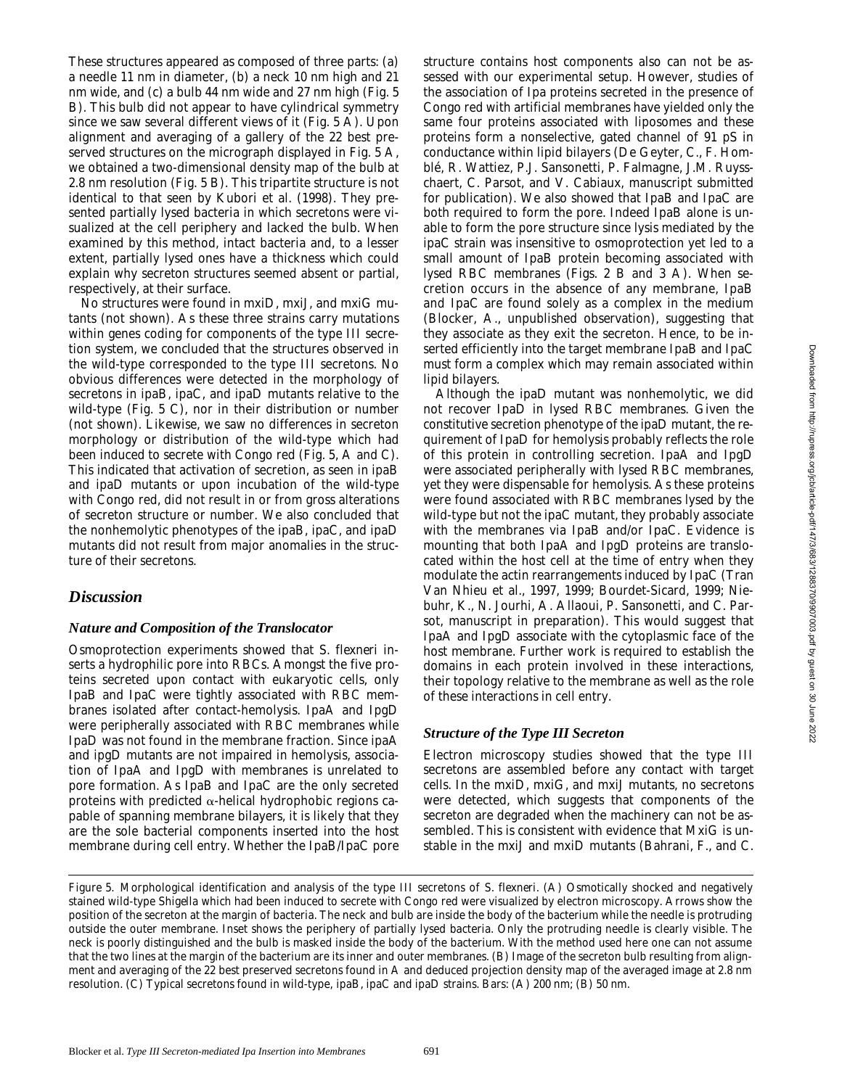These structures appeared as composed of three parts: (a) a needle 11 nm in diameter, (b) a neck 10 nm high and 21 nm wide, and (c) a bulb 44 nm wide and 27 nm high (Fig. 5 B). This bulb did not appear to have cylindrical symmetry since we saw several different views of it (Fig. 5 A). Upon alignment and averaging of a gallery of the 22 best preserved structures on the micrograph displayed in Fig. 5 A, we obtained a two-dimensional density map of the bulb at 2.8 nm resolution (Fig. 5 B). This tripartite structure is not identical to that seen by Kubori et al. (1998). They presented partially lysed bacteria in which secretons were visualized at the cell periphery and lacked the bulb. When examined by this method, intact bacteria and, to a lesser extent, partially lysed ones have a thickness which could explain why secreton structures seemed absent or partial, respectively, at their surface.

No structures were found in *mxiD*, *mxiJ*, and *mxiG* mutants (not shown). As these three strains carry mutations within genes coding for components of the type III secretion system, we concluded that the structures observed in the wild-type corresponded to the type III secretons. No obvious differences were detected in the morphology of secretons in *ipaB*, *ipaC*, and *ipaD* mutants relative to the wild-type (Fig. 5 C), nor in their distribution or number (not shown). Likewise, we saw no differences in secreton morphology or distribution of the wild-type which had been induced to secrete with Congo red (Fig. 5, A and C). This indicated that activation of secretion, as seen in *ipaB* and *ipaD* mutants or upon incubation of the wild-type with Congo red, did not result in or from gross alterations of secreton structure or number. We also concluded that the nonhemolytic phenotypes of the *ipaB*, *ipaC*, and *ipaD* mutants did not result from major anomalies in the structure of their secretons.

# *Discussion*

## *Nature and Composition of the Translocator*

Osmoprotection experiments showed that *S*. *flexneri* inserts a hydrophilic pore into RBCs. Amongst the five proteins secreted upon contact with eukaryotic cells, only IpaB and IpaC were tightly associated with RBC membranes isolated after contact-hemolysis. IpaA and IpgD were peripherally associated with RBC membranes while IpaD was not found in the membrane fraction. Since *ipaA* and *ipgD* mutants are not impaired in hemolysis, association of IpaA and IpgD with membranes is unrelated to pore formation. As IpaB and IpaC are the only secreted proteins with predicted  $\alpha$ -helical hydrophobic regions capable of spanning membrane bilayers, it is likely that they are the sole bacterial components inserted into the host membrane during cell entry. Whether the IpaB/IpaC pore

structure contains host components also can not be assessed with our experimental setup. However, studies of the association of Ipa proteins secreted in the presence of Congo red with artificial membranes have yielded only the same four proteins associated with liposomes and these proteins form a nonselective, gated channel of 91 pS in conductance within lipid bilayers (De Geyter, C., F. Homblé, R. Wattiez, P.J. Sansonetti, P. Falmagne, J.M. Ruysschaert, C. Parsot, and V. Cabiaux, manuscript submitted for publication). We also showed that IpaB and IpaC are both required to form the pore. Indeed IpaB alone is unable to form the pore structure since lysis mediated by the *ipaC* strain was insensitive to osmoprotection yet led to a small amount of IpaB protein becoming associated with lysed RBC membranes (Figs. 2 B and 3 A). When secretion occurs in the absence of any membrane, IpaB and IpaC are found solely as a complex in the medium (Blocker, A., unpublished observation), suggesting that they associate as they exit the secreton. Hence, to be inserted efficiently into the target membrane IpaB and IpaC must form a complex which may remain associated within lipid bilayers.

Although the *ipaD* mutant was nonhemolytic, we did not recover IpaD in lysed RBC membranes. Given the constitutive secretion phenotype of the *ipaD* mutant, the requirement of IpaD for hemolysis probably reflects the role of this protein in controlling secretion. IpaA and IpgD were associated peripherally with lysed RBC membranes, yet they were dispensable for hemolysis. As these proteins were found associated with RBC membranes lysed by the wild-type but not the *ipaC* mutant, they probably associate with the membranes via IpaB and/or IpaC. Evidence is mounting that both IpaA and IpgD proteins are translocated within the host cell at the time of entry when they modulate the actin rearrangements induced by IpaC (Tran Van Nhieu et al., 1997, 1999; Bourdet-Sicard, 1999; Niebuhr, K., N. Jourhi, A. Allaoui, P. Sansonetti, and C. Parsot, manuscript in preparation). This would suggest that IpaA and IpgD associate with the cytoplasmic face of the host membrane. Further work is required to establish the domains in each protein involved in these interactions, their topology relative to the membrane as well as the role of these interactions in cell entry.

## *Structure of the Type III Secreton*

Electron microscopy studies showed that the type III secretons are assembled before any contact with target cells. In the *mxiD*, *mxiG*, and *mxiJ* mutants, no secretons were detected, which suggests that components of the secreton are degraded when the machinery can not be assembled. This is consistent with evidence that MxiG is unstable in the *mxiJ* and *mxiD* mutants (Bahrani, F., and C.

*Figure 5.* Morphological identification and analysis of the type III secretons of *S*. *flexneri*. (A) Osmotically shocked and negatively stained wild-type *Shigella* which had been induced to secrete with Congo red were visualized by electron microscopy. Arrows show the position of the secreton at the margin of bacteria. The neck and bulb are inside the body of the bacterium while the needle is protruding outside the outer membrane. Inset shows the periphery of partially lysed bacteria. Only the protruding needle is clearly visible. The neck is poorly distinguished and the bulb is masked inside the body of the bacterium. With the method used here one can not assume that the two lines at the margin of the bacterium are its inner and outer membranes. (B) Image of the secreton bulb resulting from alignment and averaging of the 22 best preserved secretons found in A and deduced projection density map of the averaged image at 2.8 nm resolution. (C) Typical secretons found in wild-type, *ipaB*, *ipaC* and *ipaD* strains. Bars: (A) 200 nm; (B) 50 nm.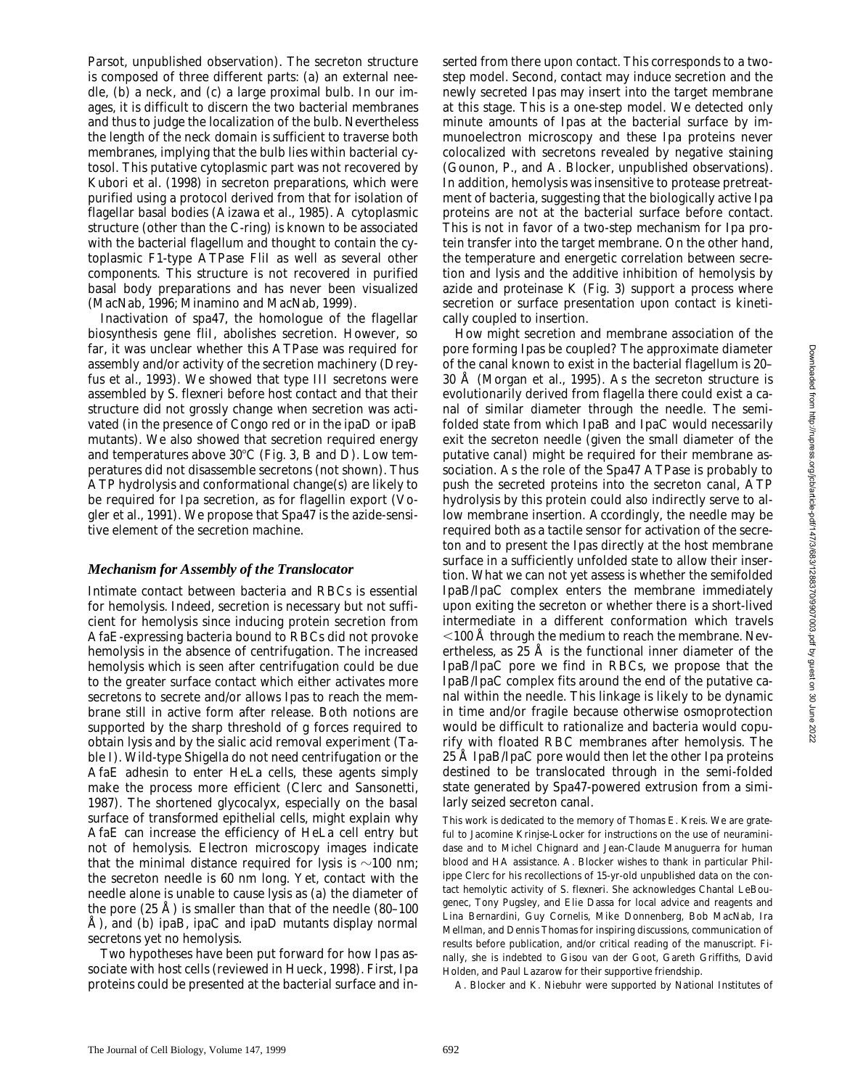Parsot, unpublished observation). The secreton structure is composed of three different parts: (a) an external needle, (b) a neck, and (c) a large proximal bulb. In our images, it is difficult to discern the two bacterial membranes and thus to judge the localization of the bulb. Nevertheless the length of the neck domain is sufficient to traverse both membranes, implying that the bulb lies within bacterial cytosol. This putative cytoplasmic part was not recovered by Kubori et al. (1998) in secreton preparations, which were purified using a protocol derived from that for isolation of flagellar basal bodies (Aizawa et al., 1985). A cytoplasmic structure (other than the C-ring) is known to be associated with the bacterial flagellum and thought to contain the cytoplasmic F1-type ATPase FliI as well as several other components. This structure is not recovered in purified basal body preparations and has never been visualized (MacNab, 1996; Minamino and MacNab, 1999).

Inactivation of *spa47*, the homologue of the flagellar biosynthesis gene *fliI*, abolishes secretion. However, so far, it was unclear whether this ATPase was required for assembly and/or activity of the secretion machinery (Dreyfus et al., 1993). We showed that type III secretons were assembled by *S*. *flexneri* before host contact and that their structure did not grossly change when secretion was activated (in the presence of Congo red or in the *ipaD* or *ipaB* mutants). We also showed that secretion required energy and temperatures above  $30^{\circ}$ C (Fig. 3, B and D). Low temperatures did not disassemble secretons (not shown). Thus ATP hydrolysis and conformational change(s) are likely to be required for Ipa secretion, as for flagellin export (Vogler et al., 1991). We propose that Spa47 is the azide-sensitive element of the secretion machine.

#### *Mechanism for Assembly of the Translocator*

Intimate contact between bacteria and RBCs is essential for hemolysis. Indeed, secretion is necessary but not sufficient for hemolysis since inducing protein secretion from AfaE-expressing bacteria bound to RBCs did not provoke hemolysis in the absence of centrifugation. The increased hemolysis which is seen after centrifugation could be due to the greater surface contact which either activates more secretons to secrete and/or allows Ipas to reach the membrane still in active form after release. Both notions are supported by the sharp threshold of *g* forces required to obtain lysis and by the sialic acid removal experiment (Table I). Wild-type *Shigella* do not need centrifugation or the AfaE adhesin to enter HeLa cells, these agents simply make the process more efficient (Clerc and Sansonetti, 1987). The shortened glycocalyx, especially on the basal surface of transformed epithelial cells, might explain why AfaE can increase the efficiency of HeLa cell entry but not of hemolysis. Electron microscopy images indicate that the minimal distance required for lysis is  $\sim$ 100 nm; the secreton needle is 60 nm long. Yet, contact with the needle alone is unable to cause lysis as (a) the diameter of the pore (25 Å) is smaller than that of the needle (80–100 Å), and (b) *ipaB*, *ipaC* and *ipaD* mutants display normal secretons yet no hemolysis.

Two hypotheses have been put forward for how Ipas associate with host cells (reviewed in Hueck, 1998). First, Ipa proteins could be presented at the bacterial surface and inserted from there upon contact. This corresponds to a twostep model. Second, contact may induce secretion and the newly secreted Ipas may insert into the target membrane at this stage. This is a one-step model. We detected only minute amounts of Ipas at the bacterial surface by immunoelectron microscopy and these Ipa proteins never colocalized with secretons revealed by negative staining (Gounon, P., and A. Blocker, unpublished observations). In addition, hemolysis was insensitive to protease pretreatment of bacteria, suggesting that the biologically active Ipa proteins are not at the bacterial surface before contact. This is not in favor of a two-step mechanism for Ipa protein transfer into the target membrane. On the other hand, the temperature and energetic correlation between secretion and lysis and the additive inhibition of hemolysis by azide and proteinase K (Fig. 3) support a process where secretion or surface presentation upon contact is kinetically coupled to insertion.

How might secretion and membrane association of the pore forming Ipas be coupled? The approximate diameter of the canal known to exist in the bacterial flagellum is 20– 30 Å (Morgan et al., 1995). As the secreton structure is evolutionarily derived from flagella there could exist a canal of similar diameter through the needle. The semifolded state from which IpaB and IpaC would necessarily exit the secreton needle (given the small diameter of the putative canal) might be required for their membrane association. As the role of the Spa47 ATPase is probably to push the secreted proteins into the secreton canal, ATP hydrolysis by this protein could also indirectly serve to allow membrane insertion. Accordingly, the needle may be required both as a tactile sensor for activation of the secreton and to present the Ipas directly at the host membrane surface in a sufficiently unfolded state to allow their insertion. What we can not yet assess is whether the semifolded IpaB/IpaC complex enters the membrane immediately upon exiting the secreton or whether there is a short-lived intermediate in a different conformation which travels  $<$ 100 Å through the medium to reach the membrane. Nevertheless, as 25 Å is the functional inner diameter of the IpaB/IpaC pore we find in RBCs, we propose that the IpaB/IpaC complex fits around the end of the putative canal within the needle. This linkage is likely to be dynamic in time and/or fragile because otherwise osmoprotection would be difficult to rationalize and bacteria would copurify with floated RBC membranes after hemolysis. The 25 Å IpaB/IpaC pore would then let the other Ipa proteins destined to be translocated through in the semi-folded state generated by Spa47-powered extrusion from a similarly seized secreton canal.

This work is dedicated to the memory of Thomas E. Kreis. We are grateful to Jacomine Krinjse-Locker for instructions on the use of neuraminidase and to Michel Chignard and Jean-Claude Manuguerra for human blood and HA assistance. A. Blocker wishes to thank in particular Philippe Clerc for his recollections of 15-yr-old unpublished data on the contact hemolytic activity of *S*. *flexneri*. She acknowledges Chantal LeBougenec, Tony Pugsley, and Elie Dassa for local advice and reagents and Lina Bernardini, Guy Cornelis, Mike Donnenberg, Bob MacNab, Ira Mellman, and Dennis Thomas for inspiring discussions, communication of results before publication, and/or critical reading of the manuscript. Finally, she is indebted to Gisou van der Goot, Gareth Griffiths, David Holden, and Paul Lazarow for their supportive friendship.

A. Blocker and K. Niebuhr were supported by National Institutes of